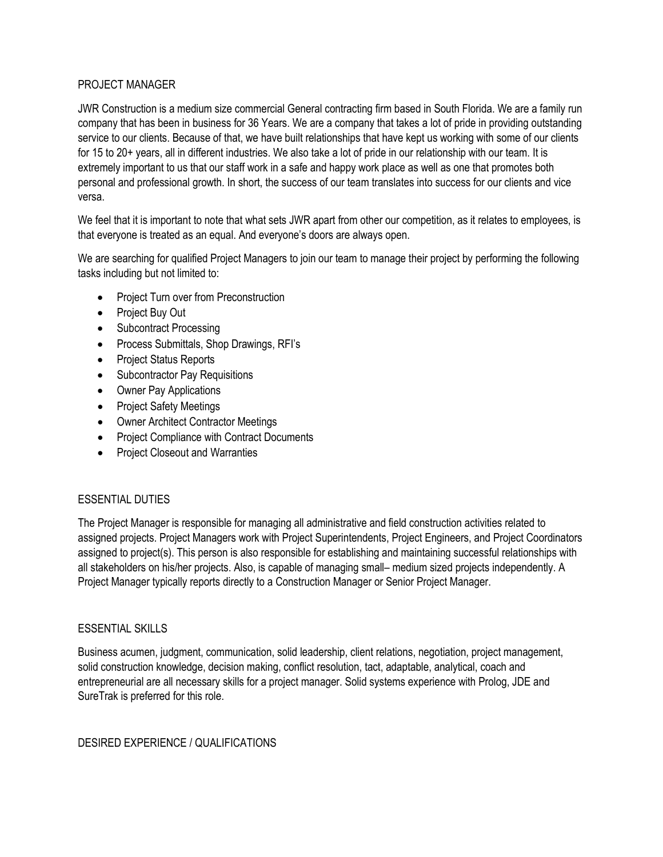## PROJECT MANAGER

JWR Construction is a medium size commercial General contracting firm based in South Florida. We are a family run company that has been in business for 36 Years. We are a company that takes a lot of pride in providing outstanding service to our clients. Because of that, we have built relationships that have kept us working with some of our clients for 15 to 20+ years, all in different industries. We also take a lot of pride in our relationship with our team. It is extremely important to us that our staff work in a safe and happy work place as well as one that promotes both personal and professional growth. In short, the success of our team translates into success for our clients and vice versa.

We feel that it is important to note that what sets JWR apart from other our competition, as it relates to employees, is that everyone is treated as an equal. And everyone's doors are always open.

We are searching for qualified Project Managers to join our team to manage their project by performing the following tasks including but not limited to:

- Project Turn over from Preconstruction
- Project Buy Out
- Subcontract Processing
- Process Submittals, Shop Drawings, RFI's
- Project Status Reports
- Subcontractor Pay Requisitions
- Owner Pay Applications
- Project Safety Meetings
- Owner Architect Contractor Meetings
- Project Compliance with Contract Documents
- Project Closeout and Warranties

## ESSENTIAL DUTIES

The Project Manager is responsible for managing all administrative and field construction activities related to assigned projects. Project Managers work with Project Superintendents, Project Engineers, and Project Coordinators assigned to project(s). This person is also responsible for establishing and maintaining successful relationships with all stakeholders on his/her projects. Also, is capable of managing small– medium sized projects independently. A Project Manager typically reports directly to a Construction Manager or Senior Project Manager.

## ESSENTIAL SKILLS

Business acumen, judgment, communication, solid leadership, client relations, negotiation, project management, solid construction knowledge, decision making, conflict resolution, tact, adaptable, analytical, coach and entrepreneurial are all necessary skills for a project manager. Solid systems experience with Prolog, JDE and SureTrak is preferred for this role.

## DESIRED EXPERIENCE / QUALIFICATIONS